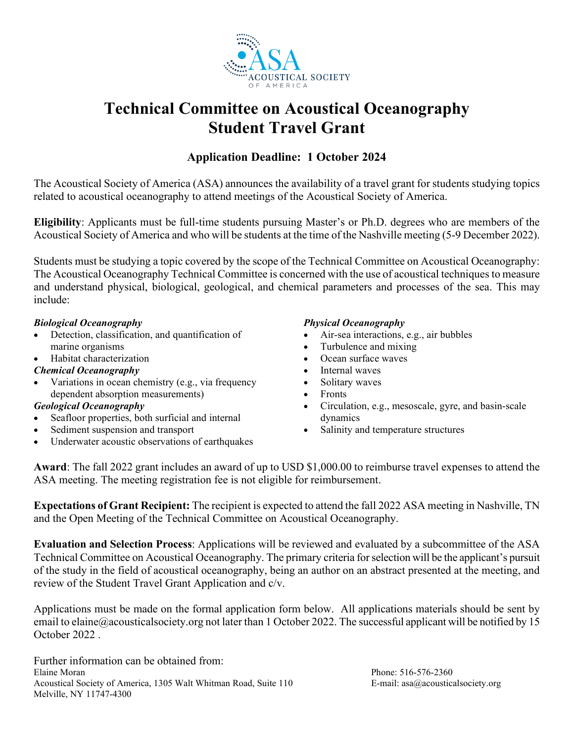

# **Technical Committee on Acoustical Oceanography Student Travel Grant**

### **Application Deadline: 1 October 2024**

The Acoustical Society of America (ASA) announces the availability of a travel grant for students studying topics related to acoustical oceanography to attend meetings of the Acoustical Society of America.

**Eligibility**: Applicants must be full-time students pursuing Master's or Ph.D. degrees who are members of the Acoustical Society of America and who will be students at the time of the Nashville meeting (5-9 December 2022).

Students must be studying a topic covered by the scope of the Technical Committee on Acoustical Oceanography: The Acoustical Oceanography Technical Committee is concerned with the use of acoustical techniques to measure and understand physical, biological, geological, and chemical parameters and processes of the sea. This may include:

#### *Biological Oceanography*

- Detection, classification, and quantification of marine organisms
- Habitat characterization

#### *Chemical Oceanography*

Variations in ocean chemistry (e.g., via frequency dependent absorption measurements)

#### *Geological Oceanography*

- Seafloor properties, both surficial and internal
- Sediment suspension and transport
- Underwater acoustic observations of earthquakes

#### *Physical Oceanography*

- Air-sea interactions, e.g., air bubbles
- Turbulence and mixing
- Ocean surface waves
- Internal waves
- Solitary waves
- Fronts
- Circulation, e.g., mesoscale, gyre, and basin-scale dynamics
- Salinity and temperature structures

**Award**: The fall 2022 grant includes an award of up to USD \$1,000.00 to reimburse travel expenses to attend the ASA meeting. The meeting registration fee is not eligible for reimbursement.

**Expectations of Grant Recipient:** The recipient is expected to attend the fall 2022 ASA meeting in Nashville, TN and the Open Meeting of the Technical Committee on Acoustical Oceanography.

**Evaluation and Selection Process**: Applications will be reviewed and evaluated by a subcommittee of the ASA Technical Committee on Acoustical Oceanography. The primary criteria for selection will be the applicant's pursuit of the study in the field of acoustical oceanography, being an author on an abstract presented at the meeting, and review of the Student Travel Grant Application and c/v.

Applications must be made on the formal application form below. All applications materials should be sent by email to elaine@acousticalsociety.org not later than 1 October 2022. The successful applicant will be notified by 15 October 2022 .

Further information can be obtained from: Elaine Moran Phone: 516-576-2360 Acoustical Society of America, 1305 Walt Whitman Road, Suite 110 E-mail: asa@acousticalsociety.org Melville, NY 11747-4300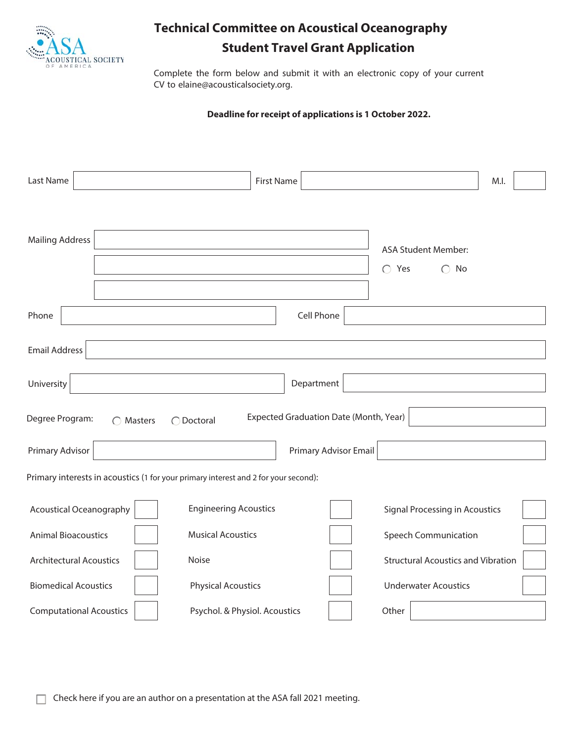

## **Technical Committee on Acoustical Oceanography Student Travel Grant Application**

Complete the form below and submit it with an electronic copy of your current CV to elaine@acousticalsociety.org.

#### **Deadline for receipt of applications is 1 October 2022.**

| Last Name                                                                                    | <b>First Name</b>             |                       |                                                             | M.I. |
|----------------------------------------------------------------------------------------------|-------------------------------|-----------------------|-------------------------------------------------------------|------|
|                                                                                              |                               |                       |                                                             |      |
| <b>Mailing Address</b>                                                                       |                               |                       |                                                             |      |
|                                                                                              |                               |                       | <b>ASA Student Member:</b><br>$\bigcap$ Yes<br>$\bigcap$ No |      |
|                                                                                              |                               |                       |                                                             |      |
| Phone                                                                                        |                               | <b>Cell Phone</b>     |                                                             |      |
| <b>Email Address</b>                                                                         |                               |                       |                                                             |      |
|                                                                                              |                               |                       |                                                             |      |
| University                                                                                   |                               | Department            |                                                             |      |
| Expected Graduation Date (Month, Year)<br>Degree Program:<br>◯ Doctoral<br>$\bigcap$ Masters |                               |                       |                                                             |      |
| Primary Advisor                                                                              |                               | Primary Advisor Email |                                                             |      |
| Primary interests in acoustics (1 for your primary interest and 2 for your second):          |                               |                       |                                                             |      |
| Acoustical Oceanography                                                                      | <b>Engineering Acoustics</b>  |                       | <b>Signal Processing in Acoustics</b>                       |      |
| <b>Animal Bioacoustics</b>                                                                   | <b>Musical Acoustics</b>      |                       | <b>Speech Communication</b>                                 |      |
| <b>Architectural Acoustics</b>                                                               | Noise                         |                       | <b>Structural Acoustics and Vibration</b>                   |      |
| <b>Biomedical Acoustics</b>                                                                  | <b>Physical Acoustics</b>     |                       | <b>Underwater Acoustics</b>                                 |      |
| <b>Computational Acoustics</b>                                                               | Psychol. & Physiol. Acoustics |                       | Other                                                       |      |